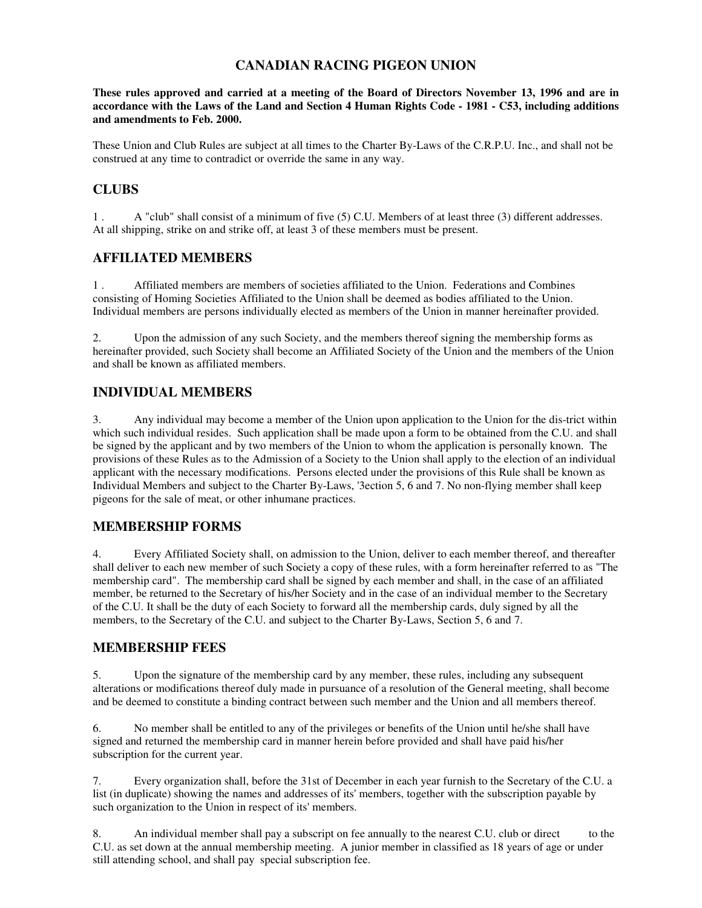## **CANADIAN RACING PIGEON UNION**

**These rules approved and carried at a meeting of the Board of Directors November 13, 1996 and are in accordance with the Laws of the Land and Section 4 Human Rights Code - 1981 - C53, including additions and amendments to Feb. 2000.**

These Union and Club Rules are subject at all times to the Charter By-Laws of the C.R.P.U. Inc., and shall not be construed at any time to contradict or override the same in any way.

# **CLUBS**

1 . A "club" shall consist of a minimum of five (5) C.U. Members of at least three (3) different addresses. At all shipping, strike on and strike off, at least 3 of these members must be present.

#### **AFFILIATED MEMBERS**

1 . Affiliated members are members of societies affiliated to the Union. Federations and Combines consisting of Homing Societies Affiliated to the Union shall be deemed as bodies affiliated to the Union. Individual members are persons individually elected as members of the Union in manner hereinafter provided.

2. Upon the admission of any such Society, and the members thereof signing the membership forms as hereinafter provided, such Society shall become an Affiliated Society of the Union and the members of the Union and shall be known as affiliated members.

## **INDIVIDUAL MEMBERS**

3. Any individual may become a member of the Union upon application to the Union for the dis-trict within which such individual resides. Such application shall be made upon a form to be obtained from the C.U. and shall be signed by the applicant and by two members of the Union to whom the application is personally known. The provisions of these Rules as to the Admission of a Society to the Union shall apply to the election of an individual applicant with the necessary modifications. Persons elected under the provisions of this Rule shall be known as Individual Members and subject to the Charter By-Laws, '3ection 5, 6 and 7. No non-flying member shall keep pigeons for the sale of meat, or other inhumane practices.

## **MEMBERSHIP FORMS**

4. Every Affiliated Society shall, on admission to the Union, deliver to each member thereof, and thereafter shall deliver to each new member of such Society a copy of these rules, with a form hereinafter referred to as "The membership card". The membership card shall be signed by each member and shall, in the case of an affiliated member, be returned to the Secretary of his/her Society and in the case of an individual member to the Secretary of the C.U. It shall be the duty of each Society to forward all the membership cards, duly signed by all the members, to the Secretary of the C.U. and subject to the Charter By-Laws, Section 5, 6 and 7.

#### **MEMBERSHIP FEES**

5. Upon the signature of the membership card by any member, these rules, including any subsequent alterations or modifications thereof duly made in pursuance of a resolution of the General meeting, shall become and be deemed to constitute a binding contract between such member and the Union and all members thereof.

6. No member shall be entitled to any of the privileges or benefits of the Union until he/she shall have signed and returned the membership card in manner herein before provided and shall have paid his/her subscription for the current year.

7. Every organization shall, before the 31st of December in each year furnish to the Secretary of the C.U. a list (in duplicate) showing the names and addresses of its' members, together with the subscription payable by such organization to the Union in respect of its' members.

8. An individual member shall pay a subscript on fee annually to the nearest C.U. club or direct to the C.U. as set down at the annual membership meeting. A junior member in classified as 18 years of age or under still attending school, and shall pay special subscription fee.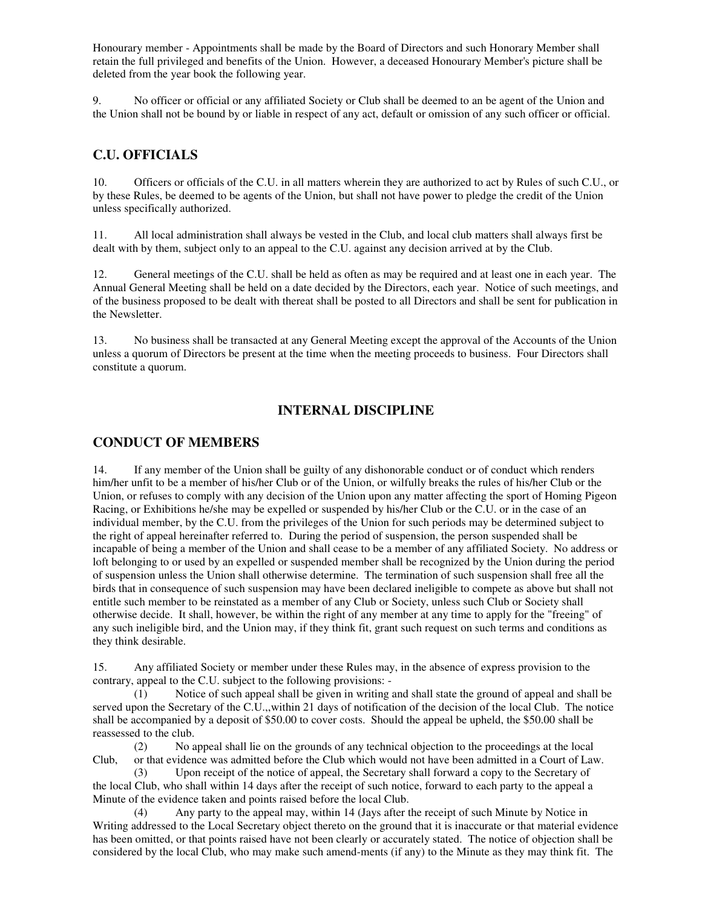Honourary member - Appointments shall be made by the Board of Directors and such Honorary Member shall retain the full privileged and benefits of the Union. However, a deceased Honourary Member's picture shall be deleted from the year book the following year.

9. No officer or official or any affiliated Society or Club shall be deemed to an be agent of the Union and the Union shall not be bound by or liable in respect of any act, default or omission of any such officer or official.

#### **C.U. OFFICIALS**

10. Officers or officials of the C.U. in all matters wherein they are authorized to act by Rules of such C.U., or by these Rules, be deemed to be agents of the Union, but shall not have power to pledge the credit of the Union unless specifically authorized.

11. All local administration shall always be vested in the Club, and local club matters shall always first be dealt with by them, subject only to an appeal to the C.U. against any decision arrived at by the Club.

12. General meetings of the C.U. shall be held as often as may be required and at least one in each year. The Annual General Meeting shall be held on a date decided by the Directors, each year. Notice of such meetings, and of the business proposed to be dealt with thereat shall be posted to all Directors and shall be sent for publication in the Newsletter.

13. No business shall be transacted at any General Meeting except the approval of the Accounts of the Union unless a quorum of Directors be present at the time when the meeting proceeds to business. Four Directors shall constitute a quorum.

#### **INTERNAL DISCIPLINE**

#### **CONDUCT OF MEMBERS**

14. If any member of the Union shall be guilty of any dishonorable conduct or of conduct which renders him/her unfit to be a member of his/her Club or of the Union, or wilfully breaks the rules of his/her Club or the Union, or refuses to comply with any decision of the Union upon any matter affecting the sport of Homing Pigeon Racing, or Exhibitions he/she may be expelled or suspended by his/her Club or the C.U. or in the case of an individual member, by the C.U. from the privileges of the Union for such periods may be determined subject to the right of appeal hereinafter referred to. During the period of suspension, the person suspended shall be incapable of being a member of the Union and shall cease to be a member of any affiliated Society. No address or loft belonging to or used by an expelled or suspended member shall be recognized by the Union during the period of suspension unless the Union shall otherwise determine. The termination of such suspension shall free all the birds that in consequence of such suspension may have been declared ineligible to compete as above but shall not entitle such member to be reinstated as a member of any Club or Society, unless such Club or Society shall otherwise decide. It shall, however, be within the right of any member at any time to apply for the "freeing" of any such ineligible bird, and the Union may, if they think fit, grant such request on such terms and conditions as they think desirable.

15. Any affiliated Society or member under these Rules may, in the absence of express provision to the contrary, appeal to the C.U. subject to the following provisions: -<br>(1) Notice of such appeal shall be given in writing

Notice of such appeal shall be given in writing and shall state the ground of appeal and shall be served upon the Secretary of the C.U.,,within 21 days of notification of the decision of the local Club. The notice shall be accompanied by a deposit of \$50.00 to cover costs. Should the appeal be upheld, the \$50.00 shall be reassessed to the club.

(2) No appeal shall lie on the grounds of any technical objection to the proceedings at the local Club, or that evidence was admitted before the Club which would not have been admitted in a Court of Law.

(3) Upon receipt of the notice of appeal, the Secretary shall forward a copy to the Secretary of the local Club, who shall within 14 days after the receipt of such notice, forward to each party to the appeal a Minute of the evidence taken and points raised before the local Club.

(4) Any party to the appeal may, within 14 (Jays after the receipt of such Minute by Notice in Writing addressed to the Local Secretary object thereto on the ground that it is inaccurate or that material evidence has been omitted, or that points raised have not been clearly or accurately stated. The notice of objection shall be considered by the local Club, who may make such amend-ments (if any) to the Minute as they may think fit. The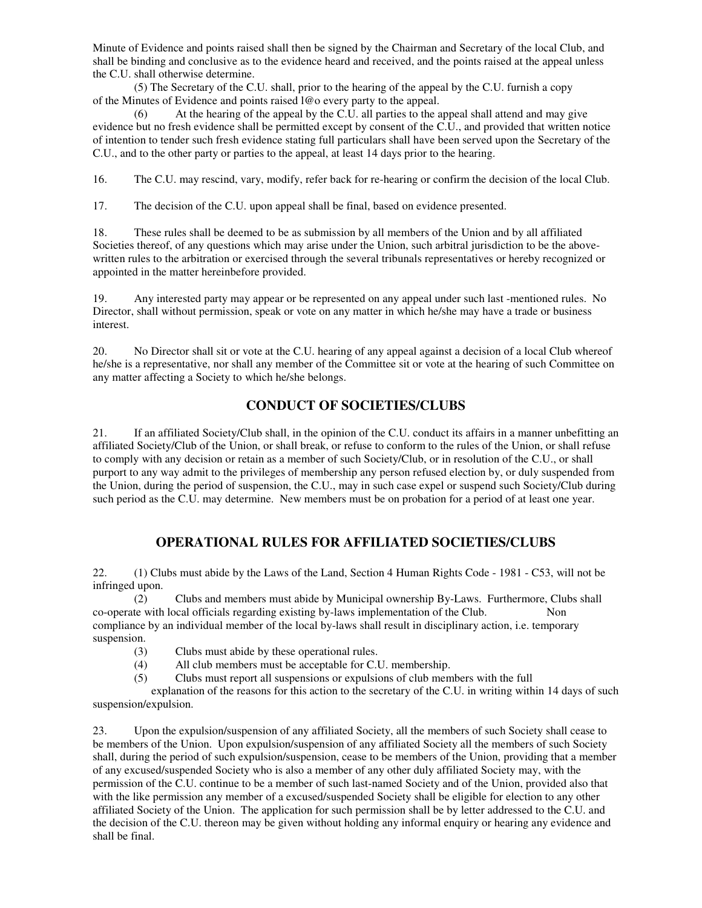Minute of Evidence and points raised shall then be signed by the Chairman and Secretary of the local Club, and shall be binding and conclusive as to the evidence heard and received, and the points raised at the appeal unless the C.U. shall otherwise determine.

(5) The Secretary of the C.U. shall, prior to the hearing of the appeal by the C.U. furnish a copy of the Minutes of Evidence and points raised l@o every party to the appeal.

At the hearing of the appeal by the C.U. all parties to the appeal shall attend and may give evidence but no fresh evidence shall be permitted except by consent of the C.U., and provided that written notice of intention to tender such fresh evidence stating full particulars shall have been served upon the Secretary of the C.U., and to the other party or parties to the appeal, at least 14 days prior to the hearing.

16. The C.U. may rescind, vary, modify, refer back for re-hearing or confirm the decision of the local Club.

17. The decision of the C.U. upon appeal shall be final, based on evidence presented.

18. These rules shall be deemed to be as submission by all members of the Union and by all affiliated Societies thereof, of any questions which may arise under the Union, such arbitral jurisdiction to be the abovewritten rules to the arbitration or exercised through the several tribunals representatives or hereby recognized or appointed in the matter hereinbefore provided.

19. Any interested party may appear or be represented on any appeal under such last -mentioned rules. No Director, shall without permission, speak or vote on any matter in which he/she may have a trade or business interest.

20. No Director shall sit or vote at the C.U. hearing of any appeal against a decision of a local Club whereof he/she is a representative, nor shall any member of the Committee sit or vote at the hearing of such Committee on any matter affecting a Society to which he/she belongs.

## **CONDUCT OF SOCIETIES/CLUBS**

21. If an affiliated Society/Club shall, in the opinion of the C.U. conduct its affairs in a manner unbefitting an affiliated Society/Club of the Union, or shall break, or refuse to conform to the rules of the Union, or shall refuse to comply with any decision or retain as a member of such Society/Club, or in resolution of the C.U., or shall purport to any way admit to the privileges of membership any person refused election by, or duly suspended from the Union, during the period of suspension, the C.U., may in such case expel or suspend such Society/Club during such period as the C.U. may determine. New members must be on probation for a period of at least one year.

## **OPERATIONAL RULES FOR AFFILIATED SOCIETIES/CLUBS**

22. (1) Clubs must abide by the Laws of the Land, Section 4 Human Rights Code - 1981 - C53, will not be infringed upon.

 (2) Clubs and members must abide by Municipal ownership By-Laws. Furthermore, Clubs shall co-operate with local officials regarding existing by-laws implementation of the Club. Non compliance by an individual member of the local by-laws shall result in disciplinary action, i.e. temporary suspension.

- (3) Clubs must abide by these operational rules.
- (4) All club members must be acceptable for C.U. membership.

(5) Clubs must report all suspensions or expulsions of club members with the full

 explanation of the reasons for this action to the secretary of the C.U. in writing within 14 days of such suspension/expulsion.

23. Upon the expulsion/suspension of any affiliated Society, all the members of such Society shall cease to be members of the Union. Upon expulsion/suspension of any affiliated Society all the members of such Society shall, during the period of such expulsion/suspension, cease to be members of the Union, providing that a member of any excused/suspended Society who is also a member of any other duly affiliated Society may, with the permission of the C.U. continue to be a member of such last-named Society and of the Union, provided also that with the like permission any member of a excused/suspended Society shall be eligible for election to any other affiliated Society of the Union. The application for such permission shall be by letter addressed to the C.U. and the decision of the C.U. thereon may be given without holding any informal enquiry or hearing any evidence and shall be final.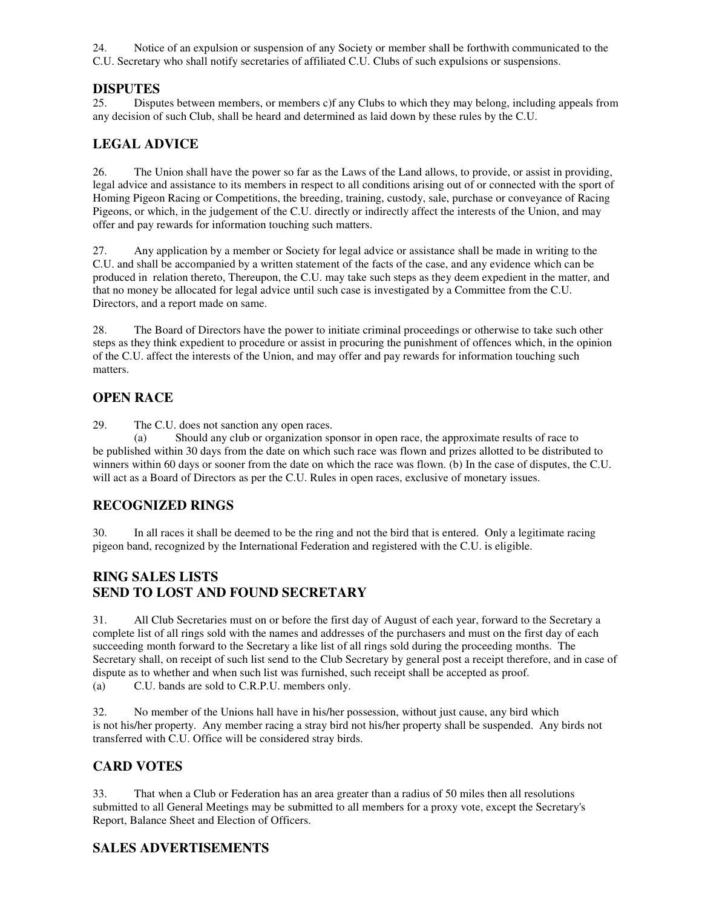24. Notice of an expulsion or suspension of any Society or member shall be forthwith communicated to the C.U. Secretary who shall notify secretaries of affiliated C.U. Clubs of such expulsions or suspensions.

#### **DISPUTES**

25. Disputes between members, or members c)f any Clubs to which they may belong, including appeals from any decision of such Club, shall be heard and determined as laid down by these rules by the C.U.

## **LEGAL ADVICE**

26. The Union shall have the power so far as the Laws of the Land allows, to provide, or assist in providing, legal advice and assistance to its members in respect to all conditions arising out of or connected with the sport of Homing Pigeon Racing or Competitions, the breeding, training, custody, sale, purchase or conveyance of Racing Pigeons, or which, in the judgement of the C.U. directly or indirectly affect the interests of the Union, and may offer and pay rewards for information touching such matters.

27. Any application by a member or Society for legal advice or assistance shall be made in writing to the C.U. and shall be accompanied by a written statement of the facts of the case, and any evidence which can be produced in relation thereto, Thereupon, the C.U. may take such steps as they deem expedient in the matter, and that no money be allocated for legal advice until such case is investigated by a Committee from the C.U. Directors, and a report made on same.

28. The Board of Directors have the power to initiate criminal proceedings or otherwise to take such other steps as they think expedient to procedure or assist in procuring the punishment of offences which, in the opinion of the C.U. affect the interests of the Union, and may offer and pay rewards for information touching such matters.

## **OPEN RACE**

29. The C.U. does not sanction any open races.

(a) Should any club or organization sponsor in open race, the approximate results of race to be published within 30 days from the date on which such race was flown and prizes allotted to be distributed to winners within 60 days or sooner from the date on which the race was flown. (b) In the case of disputes, the C.U. will act as a Board of Directors as per the C.U. Rules in open races, exclusive of monetary issues.

## **RECOGNIZED RINGS**

30. In all races it shall be deemed to be the ring and not the bird that is entered. Only a legitimate racing pigeon band, recognized by the International Federation and registered with the C.U. is eligible.

## **RING SALES LISTS SEND TO LOST AND FOUND SECRETARY**

31. All Club Secretaries must on or before the first day of August of each year, forward to the Secretary a complete list of all rings sold with the names and addresses of the purchasers and must on the first day of each succeeding month forward to the Secretary a like list of all rings sold during the proceeding months. The Secretary shall, on receipt of such list send to the Club Secretary by general post a receipt therefore, and in case of dispute as to whether and when such list was furnished, such receipt shall be accepted as proof.

(a) C.U. bands are sold to C.R.P.U. members only.

32. No member of the Unions hall have in his/her possession, without just cause, any bird which is not his/her property. Any member racing a stray bird not his/her property shall be suspended. Any birds not transferred with C.U. Office will be considered stray birds.

# **CARD VOTES**

33. That when a Club or Federation has an area greater than a radius of 50 miles then all resolutions submitted to all General Meetings may be submitted to all members for a proxy vote, except the Secretary's Report, Balance Sheet and Election of Officers.

# **SALES ADVERTISEMENTS**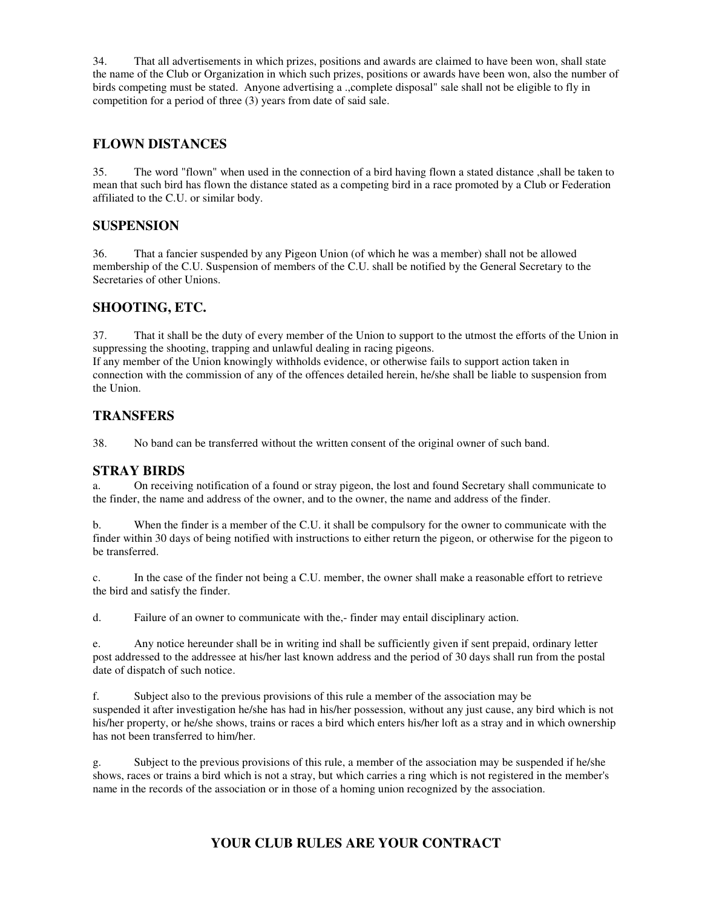34. That all advertisements in which prizes, positions and awards are claimed to have been won, shall state the name of the Club or Organization in which such prizes, positions or awards have been won, also the number of birds competing must be stated. Anyone advertising a .,complete disposal" sale shall not be eligible to fly in competition for a period of three (3) years from date of said sale.

#### **FLOWN DISTANCES**

35. The word "flown" when used in the connection of a bird having flown a stated distance ,shall be taken to mean that such bird has flown the distance stated as a competing bird in a race promoted by a Club or Federation affiliated to the C.U. or similar body.

#### **SUSPENSION**

36. That a fancier suspended by any Pigeon Union (of which he was a member) shall not be allowed membership of the C.U. Suspension of members of the C.U. shall be notified by the General Secretary to the Secretaries of other Unions.

#### **SHOOTING, ETC.**

37. That it shall be the duty of every member of the Union to support to the utmost the efforts of the Union in suppressing the shooting, trapping and unlawful dealing in racing pigeons.

If any member of the Union knowingly withholds evidence, or otherwise fails to support action taken in connection with the commission of any of the offences detailed herein, he/she shall be liable to suspension from the Union.

## **TRANSFERS**

38. No band can be transferred without the written consent of the original owner of such band.

#### **STRAY BIRDS**

a. On receiving notification of a found or stray pigeon, the lost and found Secretary shall communicate to the finder, the name and address of the owner, and to the owner, the name and address of the finder.

b. When the finder is a member of the C.U. it shall be compulsory for the owner to communicate with the finder within 30 days of being notified with instructions to either return the pigeon, or otherwise for the pigeon to be transferred.

c. In the case of the finder not being a C.U. member, the owner shall make a reasonable effort to retrieve the bird and satisfy the finder.

d. Failure of an owner to communicate with the,- finder may entail disciplinary action.

e. Any notice hereunder shall be in writing ind shall be sufficiently given if sent prepaid, ordinary letter post addressed to the addressee at his/her last known address and the period of 30 days shall run from the postal date of dispatch of such notice.

f. Subject also to the previous provisions of this rule a member of the association may be suspended it after investigation he/she has had in his/her possession, without any just cause, any bird which is not his/her property, or he/she shows, trains or races a bird which enters his/her loft as a stray and in which ownership has not been transferred to him/her.

g. Subject to the previous provisions of this rule, a member of the association may be suspended if he/she shows, races or trains a bird which is not a stray, but which carries a ring which is not registered in the member's name in the records of the association or in those of a homing union recognized by the association.

## **YOUR CLUB RULES ARE YOUR CONTRACT**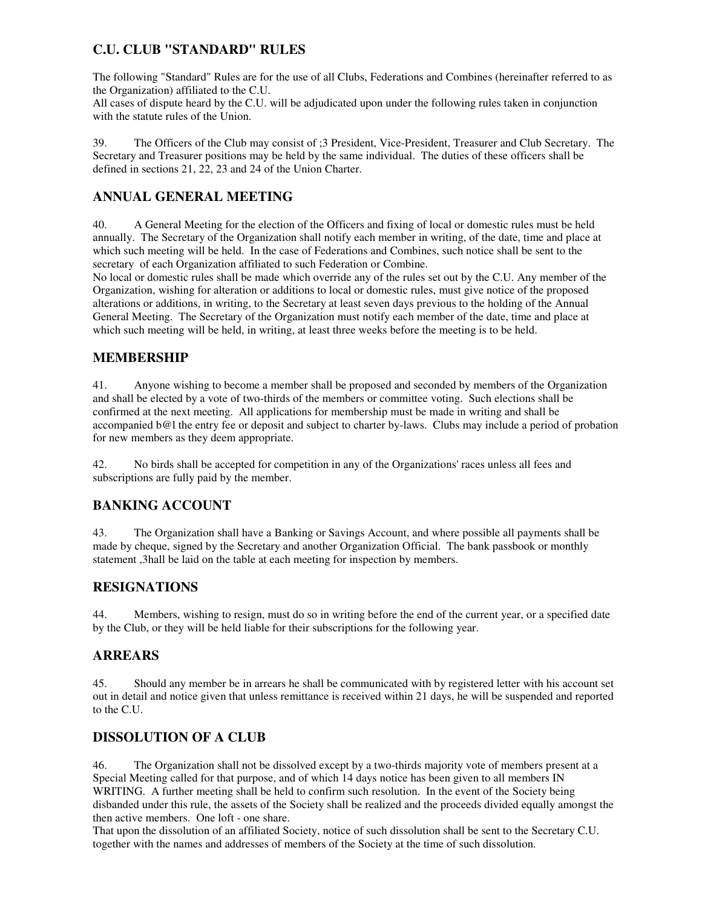# **C.U. CLUB "STANDARD" RULES**

The following "Standard" Rules are for the use of all Clubs, Federations and Combines (hereinafter referred to as the Organization) affiliated to the C.U.

All cases of dispute heard by the C.U. will be adjudicated upon under the following rules taken in conjunction with the statute rules of the Union.

39. The Officers of the Club may consist of ;3 President, Vice-President, Treasurer and Club Secretary. The Secretary and Treasurer positions may be held by the same individual. The duties of these officers shall be defined in sections 21, 22, 23 and 24 of the Union Charter.

# **ANNUAL GENERAL MEETING**

40. A General Meeting for the election of the Officers and fixing of local or domestic rules must be held annually. The Secretary of the Organization shall notify each member in writing, of the date, time and place at which such meeting will be held. In the case of Federations and Combines, such notice shall be sent to the secretary of each Organization affiliated to such Federation or Combine.

No local or domestic rules shall be made which override any of the rules set out by the C.U. Any member of the Organization, wishing for alteration or additions to local or domestic rules, must give notice of the proposed alterations or additions, in writing, to the Secretary at least seven days previous to the holding of the Annual General Meeting. The Secretary of the Organization must notify each member of the date, time and place at which such meeting will be held, in writing, at least three weeks before the meeting is to be held.

## **MEMBERSHIP**

41. Anyone wishing to become a member shall be proposed and seconded by members of the Organization and shall be elected by a vote of two-thirds of the members or committee voting. Such elections shall be confirmed at the next meeting. All applications for membership must be made in writing and shall be accompanied b@l the entry fee or deposit and subject to charter by-laws. Clubs may include a period of probation for new members as they deem appropriate.

42. No birds shall be accepted for competition in any of the Organizations' races unless all fees and subscriptions are fully paid by the member.

# **BANKING ACCOUNT**

43. The Organization shall have a Banking or Savings Account, and where possible all payments shall be made by cheque, signed by the Secretary and another Organization Official. The bank passbook or monthly statement ,3hall be laid on the table at each meeting for inspection by members.

## **RESIGNATIONS**

44. Members, wishing to resign, must do so in writing before the end of the current year, or a specified date by the Club, or they will be held liable for their subscriptions for the following year.

## **ARREARS**

45. Should any member be in arrears he shall be communicated with by registered letter with his account set out in detail and notice given that unless remittance is received within 21 days, he will be suspended and reported to the C.U.

# **DISSOLUTION OF A CLUB**

46. The Organization shall not be dissolved except by a two-thirds majority vote of members present at a Special Meeting called for that purpose, and of which 14 days notice has been given to all members IN WRITING. A further meeting shall be held to confirm such resolution. In the event of the Society being disbanded under this rule, the assets of the Society shall be realized and the proceeds divided equally amongst the then active members. One loft - one share.

That upon the dissolution of an affiliated Society, notice of such dissolution shall be sent to the Secretary C.U. together with the names and addresses of members of the Society at the time of such dissolution.